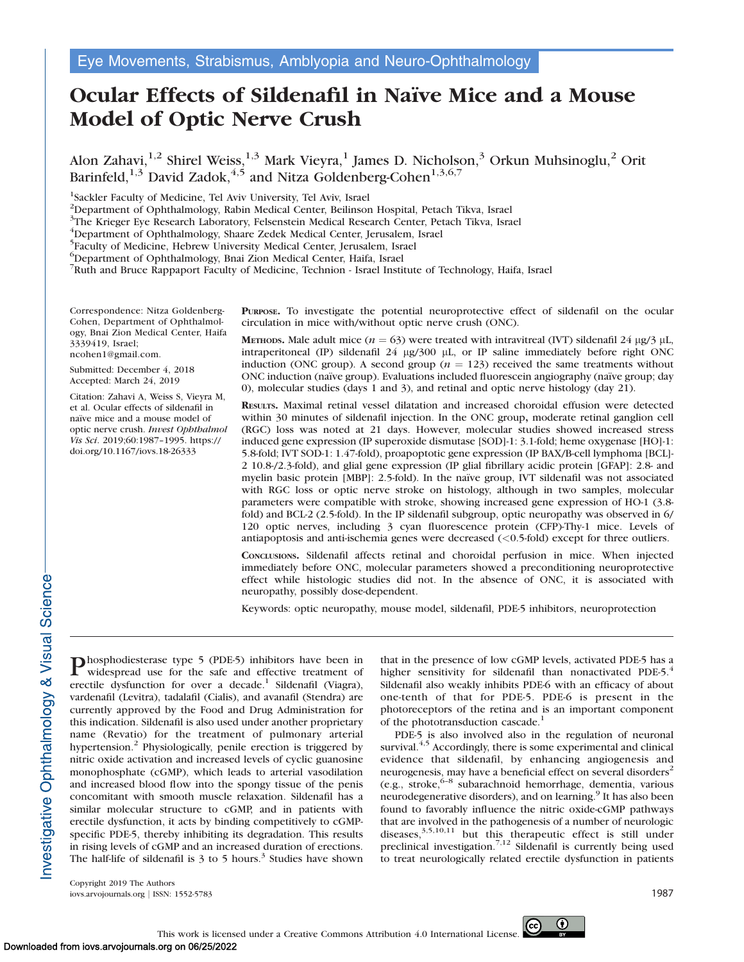# Ocular Effects of Sildenafil in Naïve Mice and a Mouse Model of Optic Nerve Crush

Alon Zahavi,<sup>1,2</sup> Shirel Weiss,<sup>1,3</sup> Mark Vieyra,<sup>1</sup> James D. Nicholson,<sup>3</sup> Orkun Muhsinoglu,<sup>2</sup> Orit Barinfeld,<sup>1,3</sup> David Zadok,<sup>4,5</sup> and Nitza Goldenberg-Cohen<sup>1,3,6,7</sup>

<sup>1</sup>Sackler Faculty of Medicine, Tel Aviv University, Tel Aviv, Israel

2 Department of Ophthalmology, Rabin Medical Center, Beilinson Hospital, Petach Tikva, Israel

<sup>3</sup>The Krieger Eye Research Laboratory, Felsenstein Medical Research Center, Petach Tikva, Israel

4 Department of Ophthalmology, Shaare Zedek Medical Center, Jerusalem, Israel

<sup>5</sup>Faculty of Medicine, Hebrew University Medical Center, Jerusalem, Israel

6 Department of Ophthalmology, Bnai Zion Medical Center, Haifa, Israel

7 Ruth and Bruce Rappaport Faculty of Medicine, Technion - Israel Institute of Technology, Haifa, Israel

Correspondence: Nitza Goldenberg-Cohen, Department of Ophthalmology, Bnai Zion Medical Center, Haifa 3339419, Israel; ncohen1@gmail.com.

Submitted: December 4, 2018 Accepted: March 24, 2019

Citation: Zahavi A, Weiss S, Vieyra M, et al. Ocular effects of sildenafil in naïve mice and a mouse model of optic nerve crush. Invest Ophthalmol Vis Sci. 2019;60:1987–1995. https:// doi.org/10.1167/iovs.18-26333

PURPOSE. To investigate the potential neuroprotective effect of sildenafil on the ocular circulation in mice with/without optic nerve crush (ONC).

METHODS. Male adult mice ( $n = 63$ ) were treated with intravitreal (IVT) sildenafil 24 µg/3 µL, intraperitoneal (IP) sildenafil 24  $\mu$ g/300  $\mu$ L, or IP saline immediately before right ONC induction (ONC group). A second group ( $n = 123$ ) received the same treatments without ONC induction (naïve group). Evaluations included fluorescein angiography (naïve group; day 0), molecular studies (days 1 and 3), and retinal and optic nerve histology (day 21).

RESULTS. Maximal retinal vessel dilatation and increased choroidal effusion were detected within 30 minutes of sildenafil injection. In the ONC group, moderate retinal ganglion cell (RGC) loss was noted at 21 days. However, molecular studies showed increased stress induced gene expression (IP superoxide dismutase [SOD]-1: 3.1-fold; heme oxygenase [HO]-1: 5.8-fold; IVT SOD-1: 1.47-fold), proapoptotic gene expression (IP BAX/B-cell lymphoma [BCL]- 2 10.8-/2.3-fold), and glial gene expression (IP glial fibrillary acidic protein [GFAP]: 2.8- and myelin basic protein [MBP]: 2.5-fold). In the naïve group, IVT sildenafil was not associated with RGC loss or optic nerve stroke on histology, although in two samples, molecular parameters were compatible with stroke, showing increased gene expression of HO-1 (3.8 fold) and BCL-2 (2.5-fold). In the IP sildenafil subgroup, optic neuropathy was observed in 6/ 120 optic nerves, including 3 cyan fluorescence protein (CFP)-Thy-1 mice. Levels of antiapoptosis and anti-ischemia genes were decreased (<0.5-fold) except for three outliers.

CONCLUSIONS. Sildenafil affects retinal and choroidal perfusion in mice. When injected immediately before ONC, molecular parameters showed a preconditioning neuroprotective effect while histologic studies did not. In the absence of ONC, it is associated with neuropathy, possibly dose-dependent.

Keywords: optic neuropathy, mouse model, sildenafil, PDE-5 inhibitors, neuroprotection

Phosphodiesterase type 5 (PDE-5) inhibitors have been in widespread use for the safe and effective treatment of erectile dysfunction for over a decade.<sup>1</sup> Sildenafil (Viagra), vardenafil (Levitra), tadalafil (Cialis), and avanafil (Stendra) are currently approved by the Food and Drug Administration for this indication. Sildenafil is also used under another proprietary name (Revatio) for the treatment of pulmonary arterial hypertension.<sup>2</sup> Physiologically, penile erection is triggered by nitric oxide activation and increased levels of cyclic guanosine monophosphate (cGMP), which leads to arterial vasodilation and increased blood flow into the spongy tissue of the penis concomitant with smooth muscle relaxation. Sildenafil has a similar molecular structure to cGMP, and in patients with erectile dysfunction, it acts by binding competitively to cGMPspecific PDE-5, thereby inhibiting its degradation. This results in rising levels of cGMP and an increased duration of erections. The half-life of sildenafil is  $3$  to  $5$  hours.<sup>3</sup> Studies have shown that in the presence of low cGMP levels, activated PDE-5 has a higher sensitivity for sildenafil than nonactivated PDE-5.<sup>4</sup> Sildenafil also weakly inhibits PDE-6 with an efficacy of about one-tenth of that for PDE-5. PDE-6 is present in the photoreceptors of the retina and is an important component of the phototransduction cascade.<sup>1</sup>

PDE-5 is also involved also in the regulation of neuronal survival. $4,5$  Accordingly, there is some experimental and clinical evidence that sildenafil, by enhancing angiogenesis and neurogenesis, may have a beneficial effect on several disorders<sup>2</sup> (e.g., stroke,6–8 subarachnoid hemorrhage, dementia, various neurodegenerative disorders), and on learning.<sup>9</sup> It has also been found to favorably influence the nitric oxide-cGMP pathways that are involved in the pathogenesis of a number of neurologic diseases,<sup>3,5,10,11</sup> but this therapeutic effect is still under preclinical investigation.<sup>7,12</sup> Sildenafil is currently being used to treat neurologically related erectile dysfunction in patients

Copyright 2019 The Authors iovs.arvojournals.org j ISSN: 1552-5783 1987

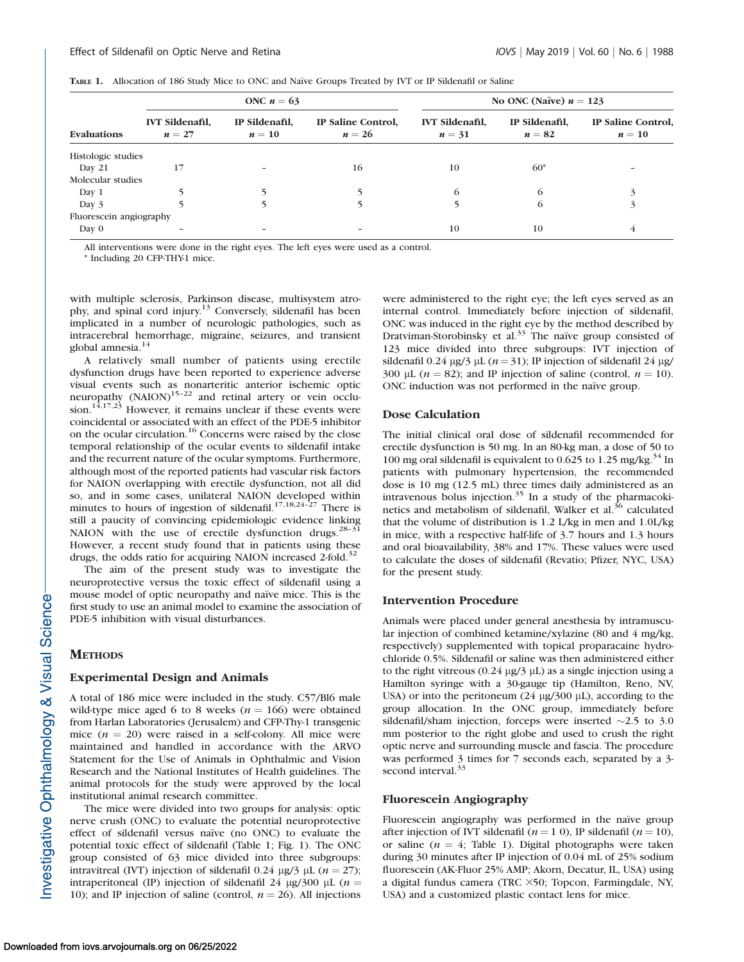|  | TABLE 1. Allocation of 186 Study Mice to ONC and Naïve Groups Treated by IVT or IP Sildenafil or Saline |  |  |  |  |  |  |  |
|--|---------------------------------------------------------------------------------------------------------|--|--|--|--|--|--|--|
|--|---------------------------------------------------------------------------------------------------------|--|--|--|--|--|--|--|

|                         |                                  | ONC $n = 63$             |                              | No ONC (Naïve) $n = 123$         |                          |                              |
|-------------------------|----------------------------------|--------------------------|------------------------------|----------------------------------|--------------------------|------------------------------|
| Evaluations             | <b>IVT</b> Sildenafil,<br>$n=27$ | IP Sildenafil,<br>$n=10$ | IP Saline Control.<br>$n=26$ | <b>IVT Sildenafil,</b><br>$n=31$ | IP Sildenafil,<br>$n=82$ | IP Saline Control,<br>$n=10$ |
| Histologic studies      |                                  |                          |                              |                                  |                          |                              |
| Day 21                  | 17                               |                          | 16                           | 10                               | $60*$                    |                              |
| Molecular studies       |                                  |                          |                              |                                  |                          |                              |
| Day 1                   |                                  |                          |                              | 6                                | 6                        |                              |
| Day 3                   |                                  |                          |                              |                                  | 6                        |                              |
| Fluorescein angiography |                                  |                          |                              |                                  |                          |                              |
| Day 0                   |                                  |                          |                              | 10                               | 10                       | 4                            |

All interventions were done in the right eyes. The left eyes were used as a control.

\* Including 20 CFP-THY-1 mice.

with multiple sclerosis, Parkinson disease, multisystem atrophy, and spinal cord injury.13 Conversely, sildenafil has been implicated in a number of neurologic pathologies, such as intracerebral hemorrhage, migraine, seizures, and transient global amnesia.<sup>14</sup>

A relatively small number of patients using erectile dysfunction drugs have been reported to experience adverse visual events such as nonarteritic anterior ischemic optic neuropathy  $(NAION)^{15-22}$  and retinal artery or vein occlusion.<sup>14,17,23</sup> However, it remains unclear if these events were coincidental or associated with an effect of the PDE-5 inhibitor on the ocular circulation.16 Concerns were raised by the close temporal relationship of the ocular events to sildenafil intake and the recurrent nature of the ocular symptoms. Furthermore, although most of the reported patients had vascular risk factors for NAION overlapping with erectile dysfunction, not all did so, and in some cases, unilateral NAION developed within minutes to hours of ingestion of sildenafil.<sup>17,18,24-27</sup> There is still a paucity of convincing epidemiologic evidence linking<br>NAION with the use of erectile dysfunction drugs.<sup>28–31</sup> However, a recent study found that in patients using these drugs, the odds ratio for acquiring NAION increased 2-fold.<sup>32</sup>

The aim of the present study was to investigate the neuroprotective versus the toxic effect of sildenafil using a mouse model of optic neuropathy and naïve mice. This is the first study to use an animal model to examine the association of PDE-5 inhibition with visual disturbances.

#### **METHODS**

#### Experimental Design and Animals

A total of 186 mice were included in the study. C57/Bl6 male wild-type mice aged 6 to 8 weeks ( $n = 166$ ) were obtained from Harlan Laboratories (Jerusalem) and CFP-Thy-1 transgenic mice  $(n = 20)$  were raised in a self-colony. All mice were maintained and handled in accordance with the ARVO Statement for the Use of Animals in Ophthalmic and Vision Research and the National Institutes of Health guidelines. The animal protocols for the study were approved by the local institutional animal research committee.

The mice were divided into two groups for analysis: optic nerve crush (ONC) to evaluate the potential neuroprotective effect of sildenafil versus naïve (no ONC) to evaluate the potential toxic effect of sildenafil (Table 1; Fig. 1). The ONC group consisted of 63 mice divided into three subgroups: intravitreal (IVT) injection of sildenafil 0.24  $\mu$ g/3  $\mu$ L (n = 27); intraperitoneal (IP) injection of sildenafil 24  $\mu$ g/300  $\mu$ L (n = 10); and IP injection of saline (control,  $n = 26$ ). All injections were administered to the right eye; the left eyes served as an internal control. Immediately before injection of sildenafil, ONC was induced in the right eye by the method described by Dratviman-Storobinsky et al. $33$  The naïve group consisted of 123 mice divided into three subgroups: IVT injection of sildenafil 0.24  $\mu$ g/3  $\mu$ L (*n* = 31); IP injection of sildenafil 24  $\mu$ g/ 300 µL ( $n = 82$ ); and IP injection of saline (control,  $n = 10$ ). ONC induction was not performed in the naïve group.

## Dose Calculation

The initial clinical oral dose of sildenafil recommended for erectile dysfunction is 50 mg. In an 80-kg man, a dose of 50 to 100 mg oral sildenafil is equivalent to 0.625 to 1.25 mg/kg. $34$  In patients with pulmonary hypertension, the recommended dose is 10 mg (12.5 mL) three times daily administered as an intravenous bolus injection. $35$  In a study of the pharmacokinetics and metabolism of sildenafil, Walker et al.<sup>36</sup> calculated that the volume of distribution is 1.2 L/kg in men and 1.0L/kg in mice, with a respective half-life of 3.7 hours and 1.3 hours and oral bioavailability, 38% and 17%. These values were used to calculate the doses of sildenafil (Revatio; Pfizer, NYC, USA) for the present study.

## Intervention Procedure

Animals were placed under general anesthesia by intramuscular injection of combined ketamine/xylazine (80 and 4 mg/kg, respectively) supplemented with topical proparacaine hydrochloride 0.5%. Sildenafil or saline was then administered either to the right vitreous (0.24  $\mu$ g/3  $\mu$ L) as a single injection using a Hamilton syringe with a 30-gauge tip (Hamilton, Reno, NV, USA) or into the peritoneum (24  $\mu$ g/300  $\mu$ L), according to the group allocation. In the ONC group, immediately before sildenafil/sham injection, forceps were inserted  $\sim$ 2.5 to 3.0 mm posterior to the right globe and used to crush the right optic nerve and surrounding muscle and fascia. The procedure was performed 3 times for 7 seconds each, separated by a 3 second interval.<sup>33</sup>

#### Fluorescein Angiography

Fluorescein angiography was performed in the naïve group after injection of IVT sildenafil ( $n = 1$  0), IP sildenafil ( $n = 10$ ), or saline ( $n = 4$ ; Table 1). Digital photographs were taken during 30 minutes after IP injection of 0.04 mL of 25% sodium fluorescein (AK-Fluor 25% AMP; Akorn, Decatur, IL, USA) using a digital fundus camera (TRC  $\times$ 50; Topcon, Farmingdale, NY, USA) and a customized plastic contact lens for mice.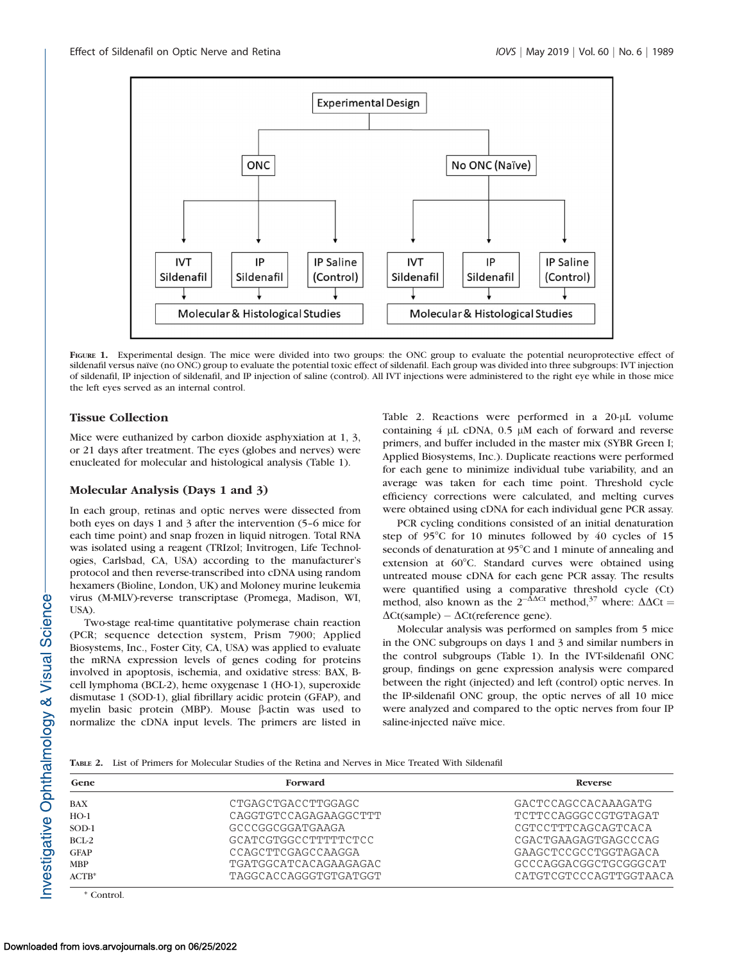

FIGURE 1. Experimental design. The mice were divided into two groups: the ONC group to evaluate the potential neuroprotective effect of sildenafil versus naïve (no ONC) group to evaluate the potential toxic effect of sildenafil. Each group was divided into three subgroups: IVT injection of sildenafil, IP injection of sildenafil, and IP injection of saline (control). All IVT injections were administered to the right eye while in those mice the left eyes served as an internal control.

# Tissue Collection

Mice were euthanized by carbon dioxide asphyxiation at 1, 3, or 21 days after treatment. The eyes (globes and nerves) were enucleated for molecular and histological analysis (Table 1).

## Molecular Analysis (Days 1 and 3)

In each group, retinas and optic nerves were dissected from both eyes on days 1 and 3 after the intervention (5–6 mice for each time point) and snap frozen in liquid nitrogen. Total RNA was isolated using a reagent (TRIzol; Invitrogen, Life Technologies, Carlsbad, CA, USA) according to the manufacturer's protocol and then reverse-transcribed into cDNA using random hexamers (Bioline, London, UK) and Moloney murine leukemia virus (M-MLV)-reverse transcriptase (Promega, Madison, WI, USA).

Two-stage real-time quantitative polymerase chain reaction (PCR; sequence detection system, Prism 7900; Applied Biosystems, Inc., Foster City, CA, USA) was applied to evaluate the mRNA expression levels of genes coding for proteins involved in apoptosis, ischemia, and oxidative stress: BAX, Bcell lymphoma (BCL-2), heme oxygenase 1 (HO-1), superoxide dismutase 1 (SOD-1), glial fibrillary acidic protein (GFAP), and myelin basic protein (MBP). Mouse  $\beta$ -actin was used to normalize the cDNA input levels. The primers are listed in Table 2. Reactions were performed in a 20-µL volume containing  $4 \mu$ L cDNA,  $0.5 \mu$ M each of forward and reverse primers, and buffer included in the master mix (SYBR Green I; Applied Biosystems, Inc.). Duplicate reactions were performed for each gene to minimize individual tube variability, and an average was taken for each time point. Threshold cycle efficiency corrections were calculated, and melting curves were obtained using cDNA for each individual gene PCR assay.

PCR cycling conditions consisted of an initial denaturation step of  $95^{\circ}$ C for 10 minutes followed by 40 cycles of 15 seconds of denaturation at 95°C and 1 minute of annealing and extension at 60°C. Standard curves were obtained using untreated mouse cDNA for each gene PCR assay. The results were quantified using a comparative threshold cycle (Ct) method, also known as the  $2^{-\Delta\Delta Ct}$  method,<sup>37</sup> where:  $\Delta\Delta Ct =$  $\Delta$ Ct(sample) –  $\Delta$ Ct(reference gene).

Molecular analysis was performed on samples from 5 mice in the ONC subgroups on days 1 and 3 and similar numbers in the control subgroups (Table 1). In the IVT-sildenafil ONC group, findings on gene expression analysis were compared between the right (injected) and left (control) optic nerves. In the IP-sildenafil ONC group, the optic nerves of all 10 mice were analyzed and compared to the optic nerves from four IP saline-injected naïve mice.

TABLE 2. List of Primers for Molecular Studies of the Retina and Nerves in Mice Treated With Sildenafil

| Gene        | Forward               | Reverse                |  |  |
|-------------|-----------------------|------------------------|--|--|
| <b>BAX</b>  | CTGAGCTGACCTTGGAGC    | GACTCCAGCCACAAAGATG    |  |  |
| $HO-1$      | CAGGTGTCCAGAGAAGGCTTT | TCTTCCAGGGCCGTGTAGAT   |  |  |
| SOD-1       | GCCCGGCGGATGAAGA      | CGTCCTTTCAGCAGTCACA    |  |  |
| BCL-2       | GCATCGTGGCCTTTTTCTCC  | CGACTGAAGAGTGAGCCCAG   |  |  |
| <b>GFAP</b> | CCAGCTTCGAGCCAAGGA    | GAAGCTCCGCCTGGTAGACA   |  |  |
| <b>MBP</b>  | TGATGGCATCACAGAAGAGAC | GCCCAGGACGGCTGCGGGCAT  |  |  |
| $ACTB*$     | TAGGCACCAGGGTGTGATGGT | CATGTCGTCCCAGTTGGTAACA |  |  |

\* Control.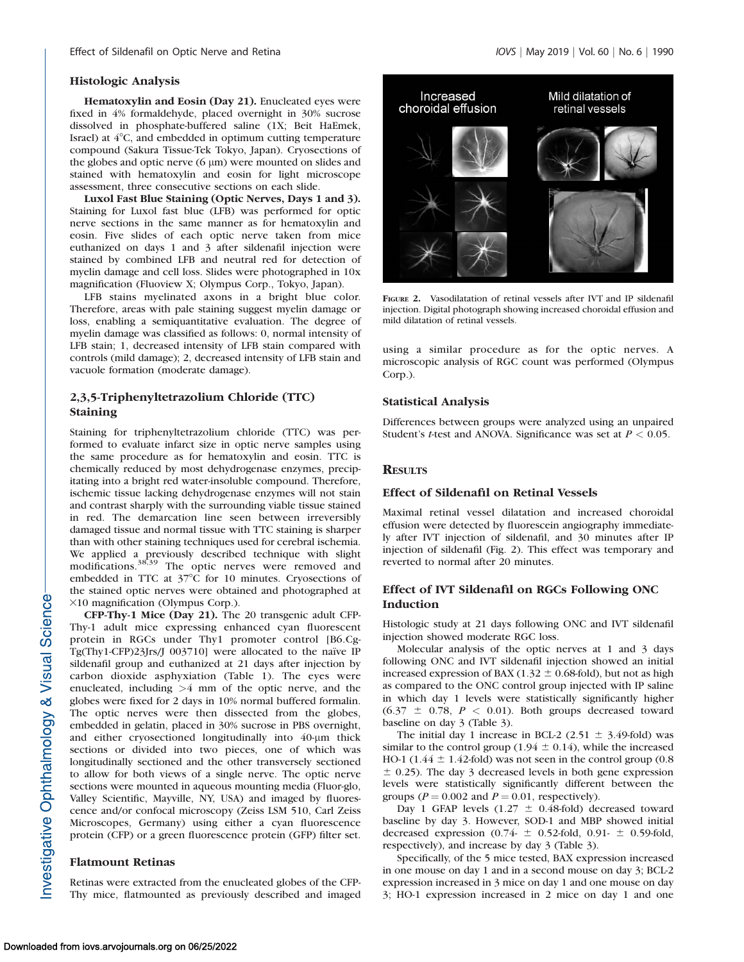#### Histologic Analysis

Hematoxylin and Eosin (Day 21). Enucleated eyes were fixed in 4% formaldehyde, placed overnight in 30% sucrose dissolved in phosphate-buffered saline (1X; Beit HaEmek, Israel) at  $4^{\circ}$ C, and embedded in optimum cutting temperature compound (Sakura Tissue-Tek Tokyo, Japan). Cryosections of the globes and optic nerve  $(6 \mu m)$  were mounted on slides and stained with hematoxylin and eosin for light microscope assessment, three consecutive sections on each slide.

Luxol Fast Blue Staining (Optic Nerves, Days 1 and 3). Staining for Luxol fast blue (LFB) was performed for optic nerve sections in the same manner as for hematoxylin and eosin. Five slides of each optic nerve taken from mice euthanized on days 1 and 3 after sildenafil injection were stained by combined LFB and neutral red for detection of myelin damage and cell loss. Slides were photographed in 10x magnification (Fluoview X; Olympus Corp., Tokyo, Japan).

LFB stains myelinated axons in a bright blue color. Therefore, areas with pale staining suggest myelin damage or loss, enabling a semiquantitative evaluation. The degree of myelin damage was classified as follows: 0, normal intensity of LFB stain; 1, decreased intensity of LFB stain compared with controls (mild damage); 2, decreased intensity of LFB stain and vacuole formation (moderate damage).

# 2,3,5-Triphenyltetrazolium Chloride (TTC) Staining

Staining for triphenyltetrazolium chloride (TTC) was performed to evaluate infarct size in optic nerve samples using the same procedure as for hematoxylin and eosin. TTC is chemically reduced by most dehydrogenase enzymes, precipitating into a bright red water-insoluble compound. Therefore, ischemic tissue lacking dehydrogenase enzymes will not stain and contrast sharply with the surrounding viable tissue stained in red. The demarcation line seen between irreversibly damaged tissue and normal tissue with TTC staining is sharper than with other staining techniques used for cerebral ischemia. We applied a previously described technique with slight modifications.<sup>38,39</sup> The optic nerves were removed and embedded in TTC at 37°C for 10 minutes. Cryosections of the stained optic nerves were obtained and photographed at  $×10$  magnification (Olympus Corp.).

CFP-Thy-1 Mice (Day 21). The 20 transgenic adult CFP-Thy-1 adult mice expressing enhanced cyan fluorescent protein in RGCs under Thy1 promoter control [B6.Cg-Tg(Thy1-CFP)23Jrs/J 003710] were allocated to the naïve IP sildenafil group and euthanized at 21 days after injection by carbon dioxide asphyxiation (Table 1). The eyes were enucleated, including  $>4$  mm of the optic nerve, and the globes were fixed for 2 days in 10% normal buffered formalin. The optic nerves were then dissected from the globes, embedded in gelatin, placed in 30% sucrose in PBS overnight, and either cryosectioned longitudinally into 40-um thick sections or divided into two pieces, one of which was longitudinally sectioned and the other transversely sectioned to allow for both views of a single nerve. The optic nerve sections were mounted in aqueous mounting media (Fluor-glo, Valley Scientific, Mayville, NY, USA) and imaged by fluorescence and/or confocal microscopy (Zeiss LSM 510, Carl Zeiss Microscopes, Germany) using either a cyan fluorescence protein (CFP) or a green fluorescence protein (GFP) filter set.

#### Flatmount Retinas

Retinas were extracted from the enucleated globes of the CFP-Thy mice, flatmounted as previously described and imaged



FIGURE 2. Vasodilatation of retinal vessels after IVT and IP sildenafil injection. Digital photograph showing increased choroidal effusion and mild dilatation of retinal vessels.

using a similar procedure as for the optic nerves. A microscopic analysis of RGC count was performed (Olympus Corp.).

#### Statistical Analysis

Differences between groups were analyzed using an unpaired Student's *t*-test and ANOVA. Significance was set at  $P < 0.05$ .

## **RESULTS**

## Effect of Sildenafil on Retinal Vessels

Maximal retinal vessel dilatation and increased choroidal effusion were detected by fluorescein angiography immediately after IVT injection of sildenafil, and 30 minutes after IP injection of sildenafil (Fig. 2). This effect was temporary and reverted to normal after 20 minutes.

# Effect of IVT Sildenafil on RGCs Following ONC Induction

Histologic study at 21 days following ONC and IVT sildenafil injection showed moderate RGC loss.

Molecular analysis of the optic nerves at 1 and 3 days following ONC and IVT sildenafil injection showed an initial increased expression of BAX (1.32  $\pm$  0.68-fold), but not as high as compared to the ONC control group injected with IP saline in which day 1 levels were statistically significantly higher  $(6.37 \pm 0.78, P < 0.01)$ . Both groups decreased toward baseline on day 3 (Table 3).

The initial day 1 increase in BCL-2 (2.51  $\pm$  3.49-fold) was similar to the control group (1.94  $\pm$  0.14), while the increased HO-1 (1.44  $\pm$  1.42-fold) was not seen in the control group (0.8  $\pm$  0.25). The day 3 decreased levels in both gene expression levels were statistically significantly different between the groups ( $P = 0.002$  and  $P = 0.01$ , respectively).

Day 1 GFAP levels (1.27  $\pm$  0.48-fold) decreased toward baseline by day 3. However, SOD-1 and MBP showed initial decreased expression (0.74-  $\pm$  0.52-fold, 0.91-  $\pm$  0.59-fold, respectively), and increase by day 3 (Table 3).

Specifically, of the 5 mice tested, BAX expression increased in one mouse on day 1 and in a second mouse on day 3; BCL-2 expression increased in 3 mice on day 1 and one mouse on day 3; HO-1 expression increased in 2 mice on day 1 and one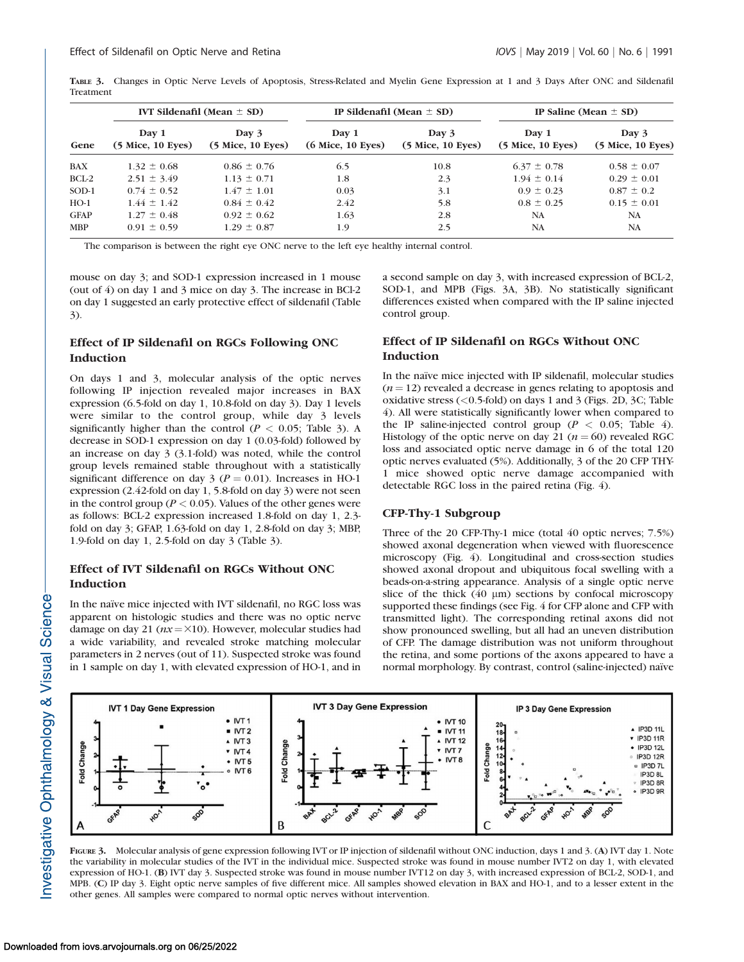TABLE 3. Changes in Optic Nerve Levels of Apoptosis, Stress-Related and Myelin Gene Expression at 1 and 3 Days After ONC and Sildenafil Treatment

| Gene        |                            | IVT Sildenafil (Mean $\pm$ SD) |                              | IP Sildenafil (Mean $\pm$ SD) | IP Saline (Mean $\pm$ SD)    |                              |
|-------------|----------------------------|--------------------------------|------------------------------|-------------------------------|------------------------------|------------------------------|
|             | Day 1<br>(5 Mice, 10 Eyes) | Day 3<br>$(5$ Mice, 10 Eyes)   | Day 1<br>$(6$ Mice, 10 Eyes) | Day 3<br>$(5$ Mice, 10 Eyes)  | Day 1<br>$(5$ Mice, 10 Eyes) | Day 3<br>$(5$ Mice, 10 Eyes) |
| BAX         | $1.32 \pm 0.68$            | $0.86 \pm 0.76$                | 6.5                          | 10.8                          | $6.37 \pm 0.78$              | $0.58 \pm 0.07$              |
| BCL-2       | $2.51 \pm 3.49$            | $1.13 \pm 0.71$                | 1.8                          | 2.3                           | $1.94 \pm 0.14$              | $0.29 \pm 0.01$              |
| SOD-1       | $0.74 \pm 0.52$            | $1.47 \pm 1.01$                | 0.03                         | 3.1                           | $0.9 \pm 0.23$               | $0.87 \pm 0.2$               |
| $HO-1$      | $1.44 \pm 1.42$            | $0.84 \pm 0.42$                | 2.42                         | 5.8                           | $0.8 \pm 0.25$               | $0.15 \pm 0.01$              |
| <b>GFAP</b> | $1.27 \pm 0.48$            | $0.92 \pm 0.62$                | 1.63                         | 2.8                           | <b>NA</b>                    | <b>NA</b>                    |
| <b>MBP</b>  | $0.91 \pm 0.59$            | $1.29 \pm 0.87$                | 1.9                          | 2.5                           | <b>NA</b>                    | <b>NA</b>                    |

The comparison is between the right eye ONC nerve to the left eye healthy internal control.

mouse on day 3; and SOD-1 expression increased in 1 mouse (out of 4) on day 1 and 3 mice on day 3. The increase in BCl-2 on day 1 suggested an early protective effect of sildenafil (Table 3).

# Effect of IP Sildenafil on RGCs Following ONC Induction

On days 1 and 3, molecular analysis of the optic nerves following IP injection revealed major increases in BAX expression (6.5-fold on day 1, 10.8-fold on day 3). Day 1 levels were similar to the control group, while day 3 levels significantly higher than the control ( $P < 0.05$ ; Table 3). A decrease in SOD-1 expression on day 1 (0.03-fold) followed by an increase on day 3 (3.1-fold) was noted, while the control group levels remained stable throughout with a statistically significant difference on day  $3 (P = 0.01)$ . Increases in HO-1 expression (2.42-fold on day 1, 5.8-fold on day 3) were not seen in the control group ( $P < 0.05$ ). Values of the other genes were as follows: BCL-2 expression increased 1.8-fold on day 1, 2.3 fold on day 3; GFAP, 1.63-fold on day 1, 2.8-fold on day 3; MBP, 1.9-fold on day 1, 2.5-fold on day 3 (Table 3).

# Effect of IVT Sildenafil on RGCs Without ONC Induction

In the naïve mice injected with IVT sildenafil, no RGC loss was apparent on histologic studies and there was no optic nerve damage on day 21 ( $nx = \times 10$ ). However, molecular studies had a wide variability, and revealed stroke matching molecular parameters in 2 nerves (out of 11). Suspected stroke was found in 1 sample on day 1, with elevated expression of HO-1, and in

a second sample on day 3, with increased expression of BCL-2, SOD-1, and MPB (Figs. 3A, 3B). No statistically significant differences existed when compared with the IP saline injected control group.

# Effect of IP Sildenafil on RGCs Without ONC Induction

In the naïve mice injected with IP sildenafil, molecular studies  $(n = 12)$  revealed a decrease in genes relating to apoptosis and oxidative stress (<0.5-fold) on days 1 and 3 (Figs. 2D, 3C; Table 4). All were statistically significantly lower when compared to the IP saline-injected control group ( $P < 0.05$ ; Table 4). Histology of the optic nerve on day 21 ( $n = 60$ ) revealed RGC loss and associated optic nerve damage in 6 of the total 120 optic nerves evaluated (5%). Additionally, 3 of the 20 CFP THY-1 mice showed optic nerve damage accompanied with detectable RGC loss in the paired retina (Fig. 4).

# CFP-Thy-1 Subgroup

Three of the 20 CFP-Thy-1 mice (total 40 optic nerves; 7.5%) showed axonal degeneration when viewed with fluorescence microscopy (Fig. 4). Longitudinal and cross-section studies showed axonal dropout and ubiquitous focal swelling with a beads-on-a-string appearance. Analysis of a single optic nerve slice of the thick  $(40 \mu m)$  sections by confocal microscopy supported these findings (see Fig. 4 for CFP alone and CFP with transmitted light). The corresponding retinal axons did not show pronounced swelling, but all had an uneven distribution of CFP. The damage distribution was not uniform throughout the retina, and some portions of the axons appeared to have a normal morphology. By contrast, control (saline-injected) naïve



FIGURE 3. Molecular analysis of gene expression following IVT or IP injection of sildenafil without ONC induction, days 1 and 3. (A) IVT day 1. Note the variability in molecular studies of the IVT in the individual mice. Suspected stroke was found in mouse number IVT2 on day 1, with elevated expression of HO-1. (B) IVT day 3. Suspected stroke was found in mouse number IVT12 on day 3, with increased expression of BCL-2, SOD-1, and MPB. (C) IP day 3. Eight optic nerve samples of five different mice. All samples showed elevation in BAX and HO-1, and to a lesser extent in the other genes. All samples were compared to normal optic nerves without intervention.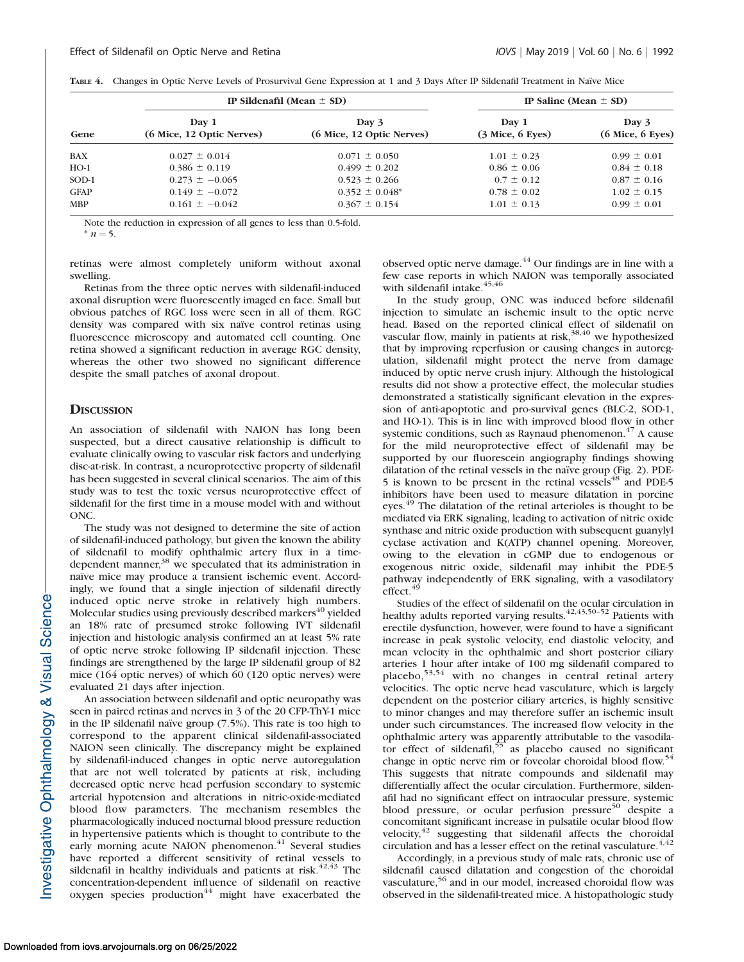|  |  |  |  |  |  | TABLE 4. Changes in Optic Nerve Levels of Prosurvival Gene Expression at 1 and 3 Days After IP Sildenafil Treatment in Naïve Mice |
|--|--|--|--|--|--|-----------------------------------------------------------------------------------------------------------------------------------|
|--|--|--|--|--|--|-----------------------------------------------------------------------------------------------------------------------------------|

| Gene        |                                    | IP Sildenafil (Mean $\pm$ SD)      | IP Saline (Mean $\pm$ SD)     |                               |  |
|-------------|------------------------------------|------------------------------------|-------------------------------|-------------------------------|--|
|             | Day 1<br>(6 Mice, 12 Optic Nerves) | Day 3<br>(6 Mice, 12 Optic Nerves) | Day 1<br>$(3$ Mice, $6$ Eyes) | Day 3<br>$(6$ Mice, $6$ Eyes) |  |
| BAX         | $0.027 \pm 0.014$                  | $0.071 \pm 0.050$                  | $1.01 \pm 0.23$               | $0.99 \pm 0.01$               |  |
| $HO-1$      | $0.386 \pm 0.119$                  | $0.499 \pm 0.202$                  | $0.86 \pm 0.06$               | $0.84 \pm 0.18$               |  |
| SOD-1       | $0.273 \pm -0.065$                 | $0.523 \pm 0.266$                  | $0.7 \pm 0.12$                | $0.87 \pm 0.16$               |  |
| <b>GFAP</b> | $0.149 \pm -0.072$                 | $0.352 \pm 0.048^*$                | $0.78 \pm 0.02$               | $1.02 \pm 0.15$               |  |
| <b>MBP</b>  | $0.161 \pm -0.042$                 | $0.367 \pm 0.154$                  | $1.01 \pm 0.13$               | $0.99 \pm 0.01$               |  |

Note the reduction in expression of all genes to less than 0.5-fold.

 $n = 5$ .

retinas were almost completely uniform without axonal swelling.

Retinas from the three optic nerves with sildenafil-induced axonal disruption were fluorescently imaged en face. Small but obvious patches of RGC loss were seen in all of them. RGC density was compared with six naïve control retinas using fluorescence microscopy and automated cell counting. One retina showed a significant reduction in average RGC density, whereas the other two showed no significant difference despite the small patches of axonal dropout.

#### **DISCUSSION**

An association of sildenafil with NAION has long been suspected, but a direct causative relationship is difficult to evaluate clinically owing to vascular risk factors and underlying disc-at-risk. In contrast, a neuroprotective property of sildenafil has been suggested in several clinical scenarios. The aim of this study was to test the toxic versus neuroprotective effect of sildenafil for the first time in a mouse model with and without ONC.

The study was not designed to determine the site of action of sildenafil-induced pathology, but given the known the ability of sildenafil to modify ophthalmic artery flux in a timedependent manner,<sup>38</sup> we speculated that its administration in naïve mice may produce a transient ischemic event. Accordingly, we found that a single injection of sildenafil directly induced optic nerve stroke in relatively high numbers. Molecular studies using previously described markers<sup>40</sup> yielded an 18% rate of presumed stroke following IVT sildenafil injection and histologic analysis confirmed an at least 5% rate of optic nerve stroke following IP sildenafil injection. These findings are strengthened by the large IP sildenafil group of 82 mice (164 optic nerves) of which 60 (120 optic nerves) were evaluated 21 days after injection.

An association between sildenafil and optic neuropathy was seen in paired retinas and nerves in 3 of the 20 CFP-ThY-1 mice in the IP sildenafil naïve group  $(7.5%)$ . This rate is too high to correspond to the apparent clinical sildenafil-associated NAION seen clinically. The discrepancy might be explained by sildenafil-induced changes in optic nerve autoregulation that are not well tolerated by patients at risk, including decreased optic nerve head perfusion secondary to systemic arterial hypotension and alterations in nitric-oxide-mediated blood flow parameters. The mechanism resembles the pharmacologically induced nocturnal blood pressure reduction in hypertensive patients which is thought to contribute to the early morning acute NAION phenomenon.<sup>41</sup> Several studies have reported a different sensitivity of retinal vessels to sildenafil in healthy individuals and patients at  $risk.<sup>42,43</sup>$  The concentration-dependent influence of sildenafil on reactive oxygen species production $44$  might have exacerbated the observed optic nerve damage.44 Our findings are in line with a few case reports in which NAION was temporally associated with sildenafil intake. $45,46$ 

In the study group, ONC was induced before sildenafil injection to simulate an ischemic insult to the optic nerve head. Based on the reported clinical effect of sildenafil on vascular flow, mainly in patients at risk, $38,40$  we hypothesized that by improving reperfusion or causing changes in autoregulation, sildenafil might protect the nerve from damage induced by optic nerve crush injury. Although the histological results did not show a protective effect, the molecular studies demonstrated a statistically significant elevation in the expression of anti-apoptotic and pro-survival genes (BLC-2, SOD-1, and HO-1). This is in line with improved blood flow in other systemic conditions, such as Raynaud phenomenon. $47$  A cause for the mild neuroprotective effect of sildenafil may be supported by our fluorescein angiography findings showing dilatation of the retinal vessels in the naïve group (Fig. 2). PDE-5 is known to be present in the retinal vessels<sup>48</sup> and PDE-5 inhibitors have been used to measure dilatation in porcine eyes.<sup>49</sup> The dilatation of the retinal arterioles is thought to be mediated via ERK signaling, leading to activation of nitric oxide synthase and nitric oxide production with subsequent guanylyl cyclase activation and K(ATP) channel opening. Moreover, owing to the elevation in cGMP due to endogenous or exogenous nitric oxide, sildenafil may inhibit the PDE-5 pathway independently of ERK signaling, with a vasodilatory  $effect.<sup>4</sup>$ 

Studies of the effect of sildenafil on the ocular circulation in healthy adults reported varying results.<sup>42,43,50–52</sup> Patients with erectile dysfunction, however, were found to have a significant increase in peak systolic velocity, end diastolic velocity, and mean velocity in the ophthalmic and short posterior ciliary arteries 1 hour after intake of 100 mg sildenafil compared to placebo,<sup>53,54</sup> with no changes in central retinal artery velocities. The optic nerve head vasculature, which is largely dependent on the posterior ciliary arteries, is highly sensitive to minor changes and may therefore suffer an ischemic insult under such circumstances. The increased flow velocity in the ophthalmic artery was apparently attributable to the vasodilator effect of sildenafil,<sup>55</sup> as placebo caused no significant change in optic nerve rim or foveolar choroidal blood flow.<sup>54</sup> This suggests that nitrate compounds and sildenafil may differentially affect the ocular circulation. Furthermore, sildenafil had no significant effect on intraocular pressure, systemic blood pressure, or ocular perfusion pressure<sup>50</sup> despite a concomitant significant increase in pulsatile ocular blood flow velocity,<sup>42</sup> suggesting that sildenafil affects the choroidal circulation and has a lesser effect on the retinal vasculature.  $4,42$ 

Accordingly, in a previous study of male rats, chronic use of sildenafil caused dilatation and congestion of the choroidal vasculature,<sup>56</sup> and in our model, increased choroidal flow was observed in the sildenafil-treated mice. A histopathologic study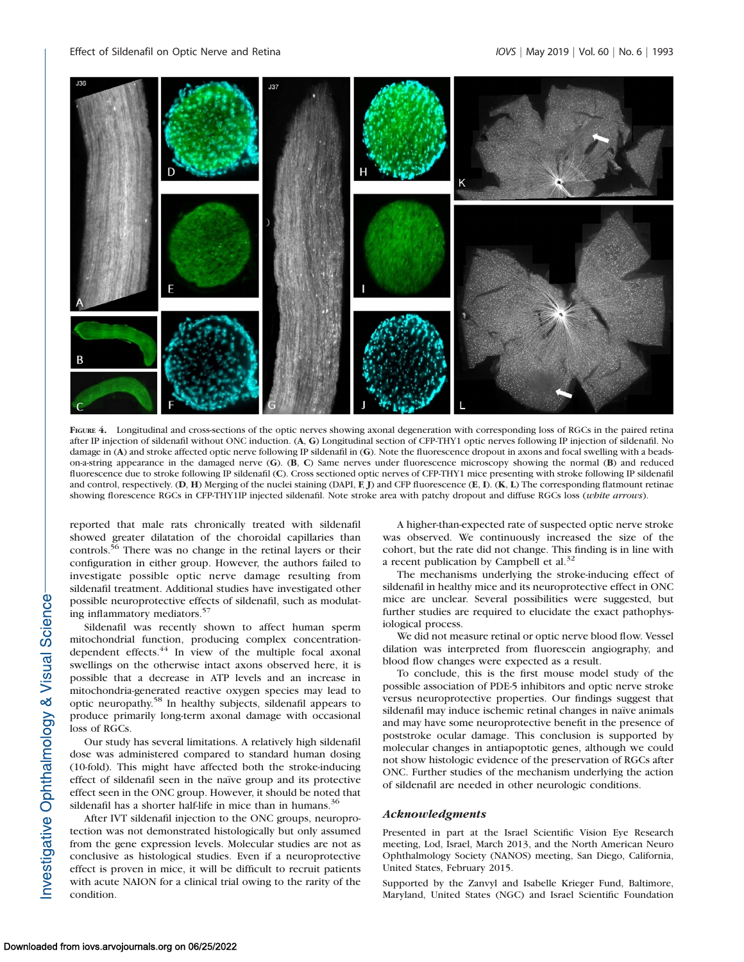

FIGURE 4. Longitudinal and cross-sections of the optic nerves showing axonal degeneration with corresponding loss of RGCs in the paired retina after IP injection of sildenafil without ONC induction. (A, G) Longitudinal section of CFP-THY1 optic nerves following IP injection of sildenafil. No damage in (A) and stroke affected optic nerve following IP sildenafil in (G). Note the fluorescence dropout in axons and focal swelling with a beadson-a-string appearance in the damaged nerve (G). (B, C) Same nerves under fluorescence microscopy showing the normal (B) and reduced fluorescence due to stroke following IP sildenafil (C). Cross sectioned optic nerves of CFP-THY1 mice presenting with stroke following IP sildenafil and control, respectively.  $(D, H)$  Merging of the nuclei staining  $(DAPI, F, I)$  and CFP fluorescence  $(E, I)$ .  $(K, L)$  The corresponding flatmount retinae showing florescence RGCs in CFP-THY1IP injected sildenafil. Note stroke area with patchy dropout and diffuse RGCs loss (white arrows).

reported that male rats chronically treated with sildenafil showed greater dilatation of the choroidal capillaries than controls.<sup>56</sup> There was no change in the retinal layers or their configuration in either group. However, the authors failed to investigate possible optic nerve damage resulting from sildenafil treatment. Additional studies have investigated other possible neuroprotective effects of sildenafil, such as modulating inflammatory mediators.<sup>5</sup>

Sildenafil was recently shown to affect human sperm mitochondrial function, producing complex concentrationdependent effects.<sup>44</sup> In view of the multiple focal axonal swellings on the otherwise intact axons observed here, it is possible that a decrease in ATP levels and an increase in mitochondria-generated reactive oxygen species may lead to optic neuropathy.58 In healthy subjects, sildenafil appears to produce primarily long-term axonal damage with occasional loss of RGCs.

Our study has several limitations. A relatively high sildenafil dose was administered compared to standard human dosing (10-fold). This might have affected both the stroke-inducing effect of sildenafil seen in the naïve group and its protective effect seen in the ONC group. However, it should be noted that sildenafil has a shorter half-life in mice than in humans. $36$ 

After IVT sildenafil injection to the ONC groups, neuroprotection was not demonstrated histologically but only assumed from the gene expression levels. Molecular studies are not as conclusive as histological studies. Even if a neuroprotective effect is proven in mice, it will be difficult to recruit patients with acute NAION for a clinical trial owing to the rarity of the condition.

A higher-than-expected rate of suspected optic nerve stroke was observed. We continuously increased the size of the cohort, but the rate did not change. This finding is in line with a recent publication by Campbell et al. $32$ 

The mechanisms underlying the stroke-inducing effect of sildenafil in healthy mice and its neuroprotective effect in ONC mice are unclear. Several possibilities were suggested, but further studies are required to elucidate the exact pathophysiological process.

We did not measure retinal or optic nerve blood flow. Vessel dilation was interpreted from fluorescein angiography, and blood flow changes were expected as a result.

To conclude, this is the first mouse model study of the possible association of PDE-5 inhibitors and optic nerve stroke versus neuroprotective properties. Our findings suggest that sildenafil may induce ischemic retinal changes in naïve animals and may have some neuroprotective benefit in the presence of poststroke ocular damage. This conclusion is supported by molecular changes in antiapoptotic genes, although we could not show histologic evidence of the preservation of RGCs after ONC. Further studies of the mechanism underlying the action of sildenafil are needed in other neurologic conditions.

#### Acknowledgments

Presented in part at the Israel Scientific Vision Eye Research meeting, Lod, Israel, March 2013, and the North American Neuro Ophthalmology Society (NANOS) meeting, San Diego, California, United States, February 2015.

Supported by the Zanvyl and Isabelle Krieger Fund, Baltimore, Maryland, United States (NGC) and Israel Scientific Foundation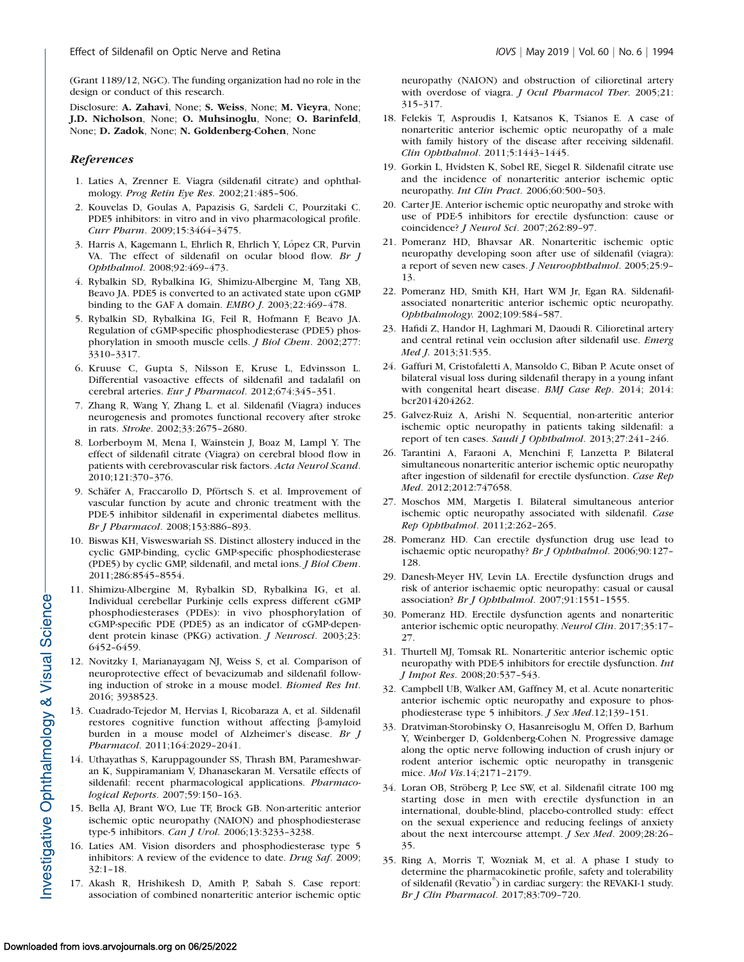(Grant 1189/12, NGC). The funding organization had no role in the design or conduct of this research.

Disclosure: A. Zahavi, None; S. Weiss, None; M. Vieyra, None; J.D. Nicholson, None; O. Muhsinoglu, None; O. Barinfeld, None; D. Zadok, None; N. Goldenberg-Cohen, None

## **References**

- 1. Laties A, Zrenner E. Viagra (sildenafil citrate) and ophthalmology. Prog Retin Eye Res. 2002;21:485–506.
- 2. Kouvelas D, Goulas A, Papazisis G, Sardeli C, Pourzitaki C. PDE5 inhibitors: in vitro and in vivo pharmacological profile. Curr Pharm. 2009;15:3464–3475.
- 3. Harris A, Kagemann L, Ehrlich R, Ehrlich Y, López CR, Purvin VA. The effect of sildenafil on ocular blood flow. Br J Ophthalmol. 2008;92:469–473.
- 4. Rybalkin SD, Rybalkina IG, Shimizu-Albergine M, Tang XB, Beavo JA. PDE5 is converted to an activated state upon cGMP binding to the GAF A domain. EMBO J. 2003;22:469–478.
- 5. Rybalkin SD, Rybalkina IG, Feil R, Hofmann F, Beavo JA. Regulation of cGMP-specific phosphodiesterase (PDE5) phosphorylation in smooth muscle cells. *J Biol Chem.* 2002;277: 3310–3317.
- 6. Kruuse C, Gupta S, Nilsson E, Kruse L, Edvinsson L. Differential vasoactive effects of sildenafil and tadalafil on cerebral arteries. Eur J Pharmacol. 2012;674:345–351.
- 7. Zhang R, Wang Y, Zhang L. et al. Sildenafil (Viagra) induces neurogenesis and promotes functional recovery after stroke in rats. Stroke. 2002;33:2675–2680.
- 8. Lorberboym M, Mena I, Wainstein J, Boaz M, Lampl Y. The effect of sildenafil citrate (Viagra) on cerebral blood flow in patients with cerebrovascular risk factors. Acta Neurol Scand. 2010;121:370–376.
- 9. Schäfer A, Fraccarollo D, Pförtsch S. et al. Improvement of vascular function by acute and chronic treatment with the PDE-5 inhibitor sildenafil in experimental diabetes mellitus. Br J Pharmacol. 2008;153:886–893.
- 10. Biswas KH, Visweswariah SS. Distinct allostery induced in the cyclic GMP-binding, cyclic GMP-specific phosphodiesterase (PDE5) by cyclic GMP, sildenafil, and metal ions. *J Biol Chem*. 2011;286:8545–8554.
- 11. Shimizu-Albergine M, Rybalkin SD, Rybalkina IG, et al. Individual cerebellar Purkinje cells express different cGMP phosphodiesterases (PDEs): in vivo phosphorylation of cGMP-specific PDE (PDE5) as an indicator of cGMP-dependent protein kinase (PKG) activation. *J Neurosci*. 2003;23: 6452–6459.
- 12. Novitzky I, Marianayagam NJ, Weiss S, et al. Comparison of neuroprotective effect of bevacizumab and sildenafil following induction of stroke in a mouse model. Biomed Res Int. 2016; 3938523.
- 13. Cuadrado-Tejedor M, Hervias I, Ricobaraza A, et al. Sildenafil restores cognitive function without affecting b-amyloid burden in a mouse model of Alzheimer's disease. Br J Pharmacol. 2011;164:2029–2041.
- 14. Uthayathas S, Karuppagounder SS, Thrash BM, Parameshwaran K, Suppiramaniam V, Dhanasekaran M. Versatile effects of sildenafil: recent pharmacological applications. Pharmacological Reports. 2007;59:150–163.
- 15. Bella AJ, Brant WO, Lue TF, Brock GB. Non-arteritic anterior ischemic optic neuropathy (NAION) and phosphodiesterase type-5 inhibitors. Can J Urol. 2006;13:3233-3238.
- 16. Laties AM. Vision disorders and phosphodiesterase type 5 inhibitors: A review of the evidence to date. Drug Saf. 2009; 32:1–18.
- 17. Akash R, Hrishikesh D, Amith P, Sabah S. Case report: association of combined nonarteritic anterior ischemic optic

neuropathy (NAION) and obstruction of cilioretinal artery with overdose of viagra. J Ocul Pharmacol Ther. 2005;21: 315–317.

- 18. Felekis T, Asproudis I, Katsanos K, Tsianos E. A case of nonarteritic anterior ischemic optic neuropathy of a male with family history of the disease after receiving sildenafil. Clin Ophthalmol. 2011;5:1443–1445.
- 19. Gorkin L, Hvidsten K, Sobel RE, Siegel R. Sildenafil citrate use and the incidence of nonarteritic anterior ischemic optic neuropathy. Int Clin Pract. 2006;60:500–503.
- 20. Carter JE. Anterior ischemic optic neuropathy and stroke with use of PDE-5 inhibitors for erectile dysfunction: cause or coincidence? *J Neurol Sci.* 2007;262:89-97.
- 21. Pomeranz HD, Bhavsar AR. Nonarteritic ischemic optic neuropathy developing soon after use of sildenafil (viagra): a report of seven new cases. J Neuroophthalmol. 2005;25:9– 13.
- 22. Pomeranz HD, Smith KH, Hart WM Jr, Egan RA. Sildenafilassociated nonarteritic anterior ischemic optic neuropathy. Ophthalmology. 2002;109:584–587.
- 23. Hafidi Z, Handor H, Laghmari M, Daoudi R. Cilioretinal artery and central retinal vein occlusion after sildenafil use. Emerg Med J. 2013;31:535.
- 24. Gaffuri M, Cristofaletti A, Mansoldo C, Biban P. Acute onset of bilateral visual loss during sildenafil therapy in a young infant with congenital heart disease. BMJ Case Rep. 2014; 2014: bcr2014204262.
- 25. Galvez-Ruiz A, Arishi N. Sequential, non-arteritic anterior ischemic optic neuropathy in patients taking sildenafil: a report of ten cases. Saudi J Ophthalmol. 2013;27:241–246.
- 26. Tarantini A, Faraoni A, Menchini F, Lanzetta P. Bilateral simultaneous nonarteritic anterior ischemic optic neuropathy after ingestion of sildenafil for erectile dysfunction. Case Rep Med. 2012;2012:747658.
- 27. Moschos MM, Margetis I. Bilateral simultaneous anterior ischemic optic neuropathy associated with sildenafil. Case Rep Ophthalmol. 2011;2:262–265.
- 28. Pomeranz HD. Can erectile dysfunction drug use lead to ischaemic optic neuropathy? Br J Ophthalmol. 2006;90:127– 128.
- 29. Danesh-Meyer HV, Levin LA. Erectile dysfunction drugs and risk of anterior ischaemic optic neuropathy: casual or causal association? Br J Ophthalmol. 2007;91:1551–1555.
- 30. Pomeranz HD. Erectile dysfunction agents and nonarteritic anterior ischemic optic neuropathy. Neurol Clin. 2017;35:17– 27.
- 31. Thurtell MJ, Tomsak RL. Nonarteritic anterior ischemic optic neuropathy with PDE-5 inhibitors for erectile dysfunction. Int J Impot Res. 2008;20:537–543.
- 32. Campbell UB, Walker AM, Gaffney M, et al. Acute nonarteritic anterior ischemic optic neuropathy and exposure to phosphodiesterase type 5 inhibitors. J Sex Med.12;139–151.
- 33. Dratviman-Storobinsky O, Hasanreisoglu M, Offen D, Barhum Y, Weinberger D, Goldenberg-Cohen N. Progressive damage along the optic nerve following induction of crush injury or rodent anterior ischemic optic neuropathy in transgenic mice. Mol Vis.14;2171–2179.
- 34. Loran OB, Ströberg P, Lee SW, et al. Sildenafil citrate 100 mg starting dose in men with erectile dysfunction in an international, double-blind, placebo-controlled study: effect on the sexual experience and reducing feelings of anxiety about the next intercourse attempt. J Sex Med. 2009;28:26– 35.
- 35. Ring A, Morris T, Wozniak M, et al. A phase I study to determine the pharmacokinetic profile, safety and tolerability of sildenafil (Revatio®) in cardiac surgery: the REVAKI-1 study. Br J Clin Pharmacol. 2017;83:709–720.